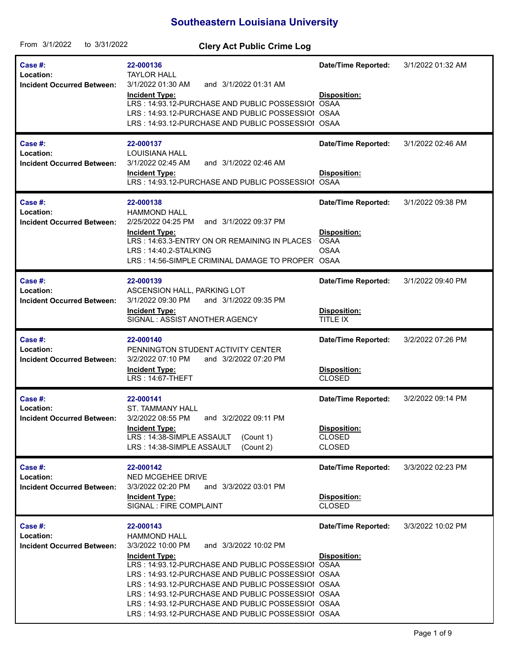## **Southeastern Louisiana University**

| From 3/1/2022<br>to 3/31/2022                                    | <b>Clery Act Public Crime Log</b>                                                                                                                                                                                                                                                                                                                                                                                                     |                                                                              |                   |
|------------------------------------------------------------------|---------------------------------------------------------------------------------------------------------------------------------------------------------------------------------------------------------------------------------------------------------------------------------------------------------------------------------------------------------------------------------------------------------------------------------------|------------------------------------------------------------------------------|-------------------|
| <b>Case #:</b><br>Location:<br><b>Incident Occurred Between:</b> | 22-000136<br><b>TAYLOR HALL</b><br>3/1/2022 01:30 AM<br>and 3/1/2022 01:31 AM<br><b>Incident Type:</b><br>LRS: 14:93.12-PURCHASE AND PUBLIC POSSESSIOI OSAA<br>LRS: 14:93.12-PURCHASE AND PUBLIC POSSESSIOI OSAA<br>LRS: 14:93.12-PURCHASE AND PUBLIC POSSESSIOI OSAA                                                                                                                                                                 | <b>Date/Time Reported:</b><br>Disposition:                                   | 3/1/2022 01:32 AM |
| Case #:<br>Location:<br><b>Incident Occurred Between:</b>        | 22-000137<br><b>LOUISIANA HALL</b><br>3/1/2022 02:45 AM<br>and 3/1/2022 02:46 AM<br><b>Incident Type:</b><br>LRS: 14:93.12-PURCHASE AND PUBLIC POSSESSIOI OSAA                                                                                                                                                                                                                                                                        | <b>Date/Time Reported:</b><br>Disposition:                                   | 3/1/2022 02:46 AM |
| Case #:<br>Location:<br><b>Incident Occurred Between:</b>        | 22-000138<br><b>HAMMOND HALL</b><br>2/25/2022 04:25 PM<br>and 3/1/2022 09:37 PM<br><b>Incident Type:</b><br>LRS: 14:63.3-ENTRY ON OR REMAINING IN PLACES<br>LRS: 14:40.2-STALKING<br>LRS: 14:56-SIMPLE CRIMINAL DAMAGE TO PROPER OSAA                                                                                                                                                                                                 | <b>Date/Time Reported:</b><br>Disposition:<br><b>OSAA</b><br><b>OSAA</b>     | 3/1/2022 09:38 PM |
| Case $#$ :<br>Location:<br><b>Incident Occurred Between:</b>     | 22-000139<br>ASCENSION HALL, PARKING LOT<br>3/1/2022 09:30 PM<br>and 3/1/2022 09:35 PM<br><b>Incident Type:</b><br>SIGNAL: ASSIST ANOTHER AGENCY                                                                                                                                                                                                                                                                                      | <b>Date/Time Reported:</b><br>Disposition:<br>TITLE IX                       | 3/1/2022 09:40 PM |
| Case #:<br>Location:<br><b>Incident Occurred Between:</b>        | 22-000140<br>PENNINGTON STUDENT ACTIVITY CENTER<br>and 3/2/2022 07:20 PM<br>3/2/2022 07:10 PM<br><b>Incident Type:</b><br>LRS: 14:67-THEFT                                                                                                                                                                                                                                                                                            | Date/Time Reported:<br>Disposition:<br><b>CLOSED</b>                         | 3/2/2022 07:26 PM |
| <b>Case #:</b><br>Location:<br><b>Incident Occurred Between:</b> | 22-000141<br>ST. TAMMANY HALL<br>3/2/2022 08:55 PM<br>and 3/2/2022 09:11 PM<br><b>Incident Type:</b><br>LRS: 14:38-SIMPLE ASSAULT<br>(Count 1)<br>LRS: 14:38-SIMPLE ASSAULT<br>(Count 2)                                                                                                                                                                                                                                              | <b>Date/Time Reported:</b><br>Disposition:<br><b>CLOSED</b><br><b>CLOSED</b> | 3/2/2022 09:14 PM |
| Case #:<br>Location:<br><b>Incident Occurred Between:</b>        | 22-000142<br>NED MCGEHEE DRIVE<br>3/3/2022 02:20 PM<br>and 3/3/2022 03:01 PM<br><b>Incident Type:</b><br>SIGNAL : FIRE COMPLAINT                                                                                                                                                                                                                                                                                                      | Date/Time Reported:<br>Disposition:<br><b>CLOSED</b>                         | 3/3/2022 02:23 PM |
| Case $#$ :<br>Location:<br><b>Incident Occurred Between:</b>     | 22-000143<br><b>HAMMOND HALL</b><br>3/3/2022 10:00 PM<br>and 3/3/2022 10:02 PM<br><b>Incident Type:</b><br>LRS: 14:93.12-PURCHASE AND PUBLIC POSSESSIOI OSAA<br>LRS: 14:93.12-PURCHASE AND PUBLIC POSSESSIOI OSAA<br>LRS: 14:93.12-PURCHASE AND PUBLIC POSSESSIOI OSAA<br>LRS: 14:93.12-PURCHASE AND PUBLIC POSSESSIOI OSAA<br>LRS: 14:93.12-PURCHASE AND PUBLIC POSSESSIOI OSAA<br>LRS: 14:93.12-PURCHASE AND PUBLIC POSSESSIOI OSAA | <b>Date/Time Reported:</b><br>Disposition:                                   | 3/3/2022 10:02 PM |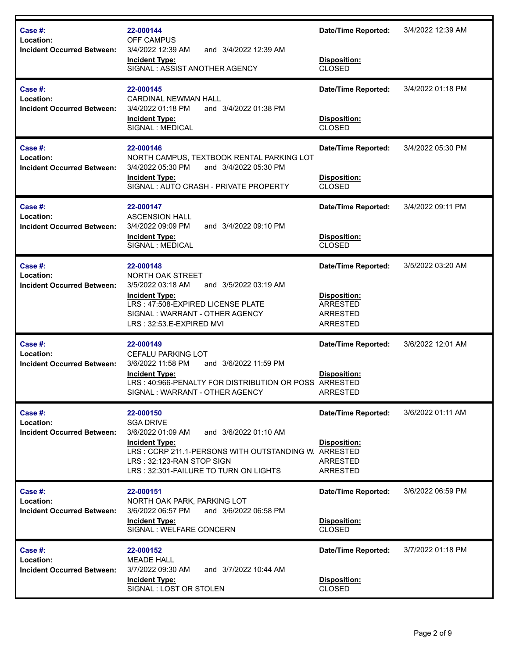| Case #:<br>Location:<br><b>Incident Occurred Between:</b> | 22-000144<br>OFF CAMPUS<br>3/4/2022 12:39 AM<br>and 3/4/2022 12:39 AM<br><b>Incident Type:</b><br>SIGNAL: ASSIST ANOTHER AGENCY                                                                                                    | <b>Date/Time Reported:</b><br>Disposition:<br><b>CLOSED</b>                                  | 3/4/2022 12:39 AM |
|-----------------------------------------------------------|------------------------------------------------------------------------------------------------------------------------------------------------------------------------------------------------------------------------------------|----------------------------------------------------------------------------------------------|-------------------|
| Case #:<br>Location:<br><b>Incident Occurred Between:</b> | 22-000145<br><b>CARDINAL NEWMAN HALL</b><br>3/4/2022 01:18 PM<br>and 3/4/2022 01:38 PM<br><b>Incident Type:</b><br>SIGNAL : MEDICAL                                                                                                | <b>Date/Time Reported:</b><br>Disposition:<br><b>CLOSED</b>                                  | 3/4/2022 01:18 PM |
| Case #:<br>Location:<br><b>Incident Occurred Between:</b> | 22-000146<br>NORTH CAMPUS, TEXTBOOK RENTAL PARKING LOT<br>3/4/2022 05:30 PM<br>and 3/4/2022 05:30 PM<br><b>Incident Type:</b><br>SIGNAL: AUTO CRASH - PRIVATE PROPERTY                                                             | <b>Date/Time Reported:</b><br>Disposition:<br>CLOSED                                         | 3/4/2022 05:30 PM |
| Case #:<br>Location:<br><b>Incident Occurred Between:</b> | 22-000147<br><b>ASCENSION HALL</b><br>3/4/2022 09:09 PM<br>and 3/4/2022 09:10 PM<br><b>Incident Type:</b><br>SIGNAL : MEDICAL                                                                                                      | <b>Date/Time Reported:</b><br>Disposition:<br><b>CLOSED</b>                                  | 3/4/2022 09:11 PM |
| Case #:<br>Location:<br><b>Incident Occurred Between:</b> | 22-000148<br>NORTH OAK STREET<br>3/5/2022 03:18 AM<br>and 3/5/2022 03:19 AM<br><b>Incident Type:</b><br>LRS: 47:508-EXPIRED LICENSE PLATE<br>SIGNAL: WARRANT - OTHER AGENCY<br>LRS: 32:53.E-EXPIRED MVI                            | <b>Date/Time Reported:</b><br>Disposition:<br><b>ARRESTED</b><br><b>ARRESTED</b><br>ARRESTED | 3/5/2022 03:20 AM |
| Case #:<br>Location:<br><b>Incident Occurred Between:</b> | 22-000149<br>CEFALU PARKING LOT<br>3/6/2022 11:58 PM<br>and 3/6/2022 11:59 PM<br><b>Incident Type:</b><br>LRS: 40:966-PENALTY FOR DISTRIBUTION OR POSS ARRESTED<br>SIGNAL: WARRANT - OTHER AGENCY                                  | <b>Date/Time Reported:</b><br><b>Disposition:</b><br>ARRESTED                                | 3/6/2022 12:01 AM |
| Case #:<br>Location:<br><b>Incident Occurred Between:</b> | 22-000150<br><b>SGA DRIVE</b><br>3/6/2022 01:09 AM<br>and 3/6/2022 01:10 AM<br><b>Incident Type:</b><br>LRS: CCRP 211.1-PERSONS WITH OUTSTANDING W. ARRESTED<br>LRS: 32:123-RAN STOP SIGN<br>LRS: 32:301-FAILURE TO TURN ON LIGHTS | <b>Date/Time Reported:</b><br><b>Disposition:</b><br><b>ARRESTED</b><br>ARRESTED             | 3/6/2022 01:11 AM |
| Case #:<br>Location:<br><b>Incident Occurred Between:</b> | 22-000151<br>NORTH OAK PARK, PARKING LOT<br>3/6/2022 06:57 PM<br>and 3/6/2022 06:58 PM<br><b>Incident Type:</b><br>SIGNAL : WELFARE CONCERN                                                                                        | <b>Date/Time Reported:</b><br>Disposition:<br><b>CLOSED</b>                                  | 3/6/2022 06:59 PM |
| Case #:<br>Location:<br><b>Incident Occurred Between:</b> | 22-000152<br><b>MEADE HALL</b><br>3/7/2022 09:30 AM<br>and 3/7/2022 10:44 AM<br><b>Incident Type:</b><br>SIGNAL : LOST OR STOLEN                                                                                                   | <b>Date/Time Reported:</b><br>Disposition:<br><b>CLOSED</b>                                  | 3/7/2022 01:18 PM |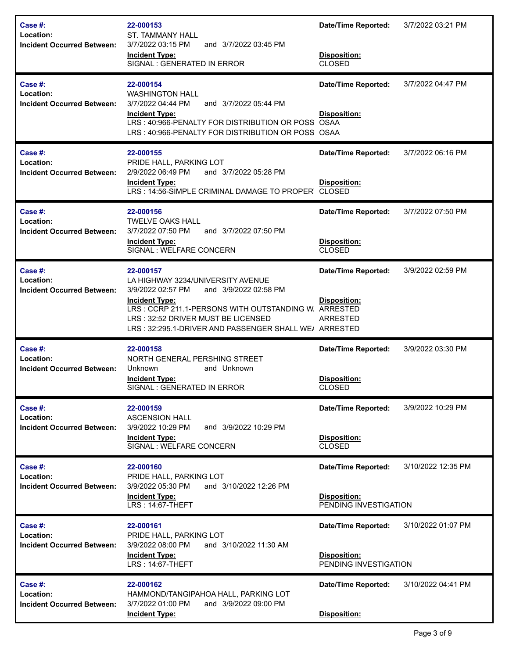| Case #:<br>Location:<br><b>Incident Occurred Between:</b>    | 22-000153<br><b>ST. TAMMANY HALL</b><br>3/7/2022 03:15 PM<br>and 3/7/2022 03:45 PM<br><b>Incident Type:</b><br>SIGNAL : GENERATED IN ERROR                                                                                                                                   | <b>Date/Time Reported:</b><br>Disposition:<br><b>CLOSED</b>          | 3/7/2022 03:21 PM  |
|--------------------------------------------------------------|------------------------------------------------------------------------------------------------------------------------------------------------------------------------------------------------------------------------------------------------------------------------------|----------------------------------------------------------------------|--------------------|
| Case #:<br>Location:<br><b>Incident Occurred Between:</b>    | 22-000154<br><b>WASHINGTON HALL</b><br>3/7/2022 04:44 PM<br>and 3/7/2022 05:44 PM<br><b>Incident Type:</b><br>LRS: 40:966-PENALTY FOR DISTRIBUTION OR POSS<br>LRS: 40:966-PENALTY FOR DISTRIBUTION OR POSS OSAA                                                              | <b>Date/Time Reported:</b><br>Disposition:<br><b>OSAA</b>            | 3/7/2022 04:47 PM  |
| Case #:<br>Location:<br><b>Incident Occurred Between:</b>    | 22-000155<br>PRIDE HALL, PARKING LOT<br>2/9/2022 06:49 PM<br>and 3/7/2022 05:28 PM<br><b>Incident Type:</b><br>LRS: 14:56-SIMPLE CRIMINAL DAMAGE TO PROPER CLOSED                                                                                                            | <b>Date/Time Reported:</b><br>Disposition:                           | 3/7/2022 06:16 PM  |
| Case #:<br>Location:<br><b>Incident Occurred Between:</b>    | 22-000156<br><b>TWELVE OAKS HALL</b><br>3/7/2022 07:50 PM<br>and 3/7/2022 07:50 PM<br><b>Incident Type:</b><br>SIGNAL : WELFARE CONCERN                                                                                                                                      | <b>Date/Time Reported:</b><br><b>Disposition:</b><br><b>CLOSED</b>   | 3/7/2022 07:50 PM  |
| Case $#$ :<br>Location:<br><b>Incident Occurred Between:</b> | 22-000157<br>LA HIGHWAY 3234/UNIVERSITY AVENUE<br>and 3/9/2022 02:58 PM<br>3/9/2022 02:57 PM<br><b>Incident Type:</b><br>LRS: CCRP 211.1-PERSONS WITH OUTSTANDING W. ARRESTED<br>LRS: 32:52 DRIVER MUST BE LICENSED<br>LRS: 32:295.1-DRIVER AND PASSENGER SHALL WE/ ARRESTED | <b>Date/Time Reported:</b><br><b>Disposition:</b><br><b>ARRESTED</b> | 3/9/2022 02:59 PM  |
| Case #:<br>Location:<br><b>Incident Occurred Between:</b>    | 22-000158<br>NORTH GENERAL PERSHING STREET<br>Unknown<br>and Unknown<br><b>Incident Type:</b><br>SIGNAL : GENERATED IN ERROR                                                                                                                                                 | <b>Date/Time Reported:</b><br><b>Disposition:</b><br><b>CLOSED</b>   | 3/9/2022 03:30 PM  |
| Case #:<br>Location:<br><b>Incident Occurred Between:</b>    | 22-000159<br><b>ASCENSION HALL</b><br>3/9/2022 10:29 PM<br>and 3/9/2022 10:29 PM<br><b>Incident Type:</b><br>SIGNAL : WELFARE CONCERN                                                                                                                                        | <b>Date/Time Reported:</b><br>Disposition:<br><b>CLOSED</b>          | 3/9/2022 10:29 PM  |
| Case #:<br>Location:<br><b>Incident Occurred Between:</b>    | 22-000160<br>PRIDE HALL, PARKING LOT<br>3/9/2022 05:30 PM<br>and 3/10/2022 12:26 PM<br><b>Incident Type:</b><br>LRS: 14:67-THEFT                                                                                                                                             | <b>Date/Time Reported:</b><br>Disposition:<br>PENDING INVESTIGATION  | 3/10/2022 12:35 PM |
| Case #:<br>Location:<br><b>Incident Occurred Between:</b>    | 22-000161<br>PRIDE HALL, PARKING LOT<br>3/9/2022 08:00 PM<br>and 3/10/2022 11:30 AM<br><b>Incident Type:</b><br>LRS: 14:67-THEFT                                                                                                                                             | <b>Date/Time Reported:</b><br>Disposition:<br>PENDING INVESTIGATION  | 3/10/2022 01:07 PM |
| Case #:<br>Location:<br><b>Incident Occurred Between:</b>    | 22-000162<br>HAMMOND/TANGIPAHOA HALL, PARKING LOT<br>3/7/2022 01:00 PM<br>and 3/9/2022 09:00 PM<br><b>Incident Type:</b>                                                                                                                                                     | <b>Date/Time Reported:</b><br>Disposition:                           | 3/10/2022 04:41 PM |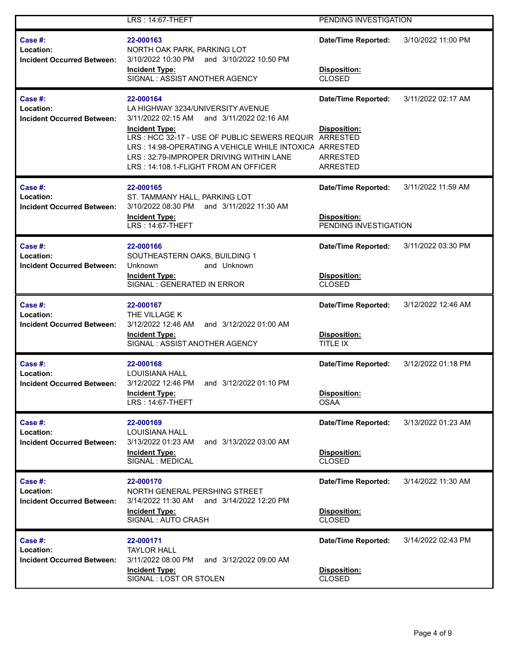|                                                                         | LRS: 14:67-THEFT                                                                                                                                                                                                             | PENDING INVESTIGATION                                               |                    |
|-------------------------------------------------------------------------|------------------------------------------------------------------------------------------------------------------------------------------------------------------------------------------------------------------------------|---------------------------------------------------------------------|--------------------|
| Case #:<br><b>Location:</b><br><b>Incident Occurred Between:</b>        | 22-000163<br>NORTH OAK PARK, PARKING LOT<br>3/10/2022 10:30 PM<br>and 3/10/2022 10:50 PM<br><b>Incident Type:</b><br>SIGNAL: ASSIST ANOTHER AGENCY                                                                           | <b>Date/Time Reported:</b><br>Disposition:<br><b>CLOSED</b>         | 3/10/2022 11:00 PM |
| Case $#$ :<br>Location:<br><b>Incident Occurred Between:</b>            | 22-000164<br>LA HIGHWAY 3234/UNIVERSITY AVENUE<br>3/11/2022 02:15 AM<br>and 3/11/2022 02:16 AM                                                                                                                               | <b>Date/Time Reported:</b>                                          | 3/11/2022 02:17 AM |
|                                                                         | <b>Incident Type:</b><br>LRS : HCC 32-17 - USE OF PUBLIC SEWERS REQUIR ARRESTED<br>LRS: 14:98-OPERATING A VEHICLE WHILE INTOXICA ARRESTED<br>LRS: 32:79-IMPROPER DRIVING WITHIN LANE<br>LRS: 14:108.1-FLIGHT FROM AN OFFICER | Disposition:<br><b>ARRESTED</b><br><b>ARRESTED</b>                  |                    |
| Case #:<br>Location:<br><b>Incident Occurred Between:</b>               | 22-000165<br>ST. TAMMANY HALL, PARKING LOT<br>3/10/2022 08:30 PM<br>and 3/11/2022 11:30 AM<br><b>Incident Type:</b><br><b>LRS: 14:67-THEFT</b>                                                                               | <b>Date/Time Reported:</b><br>Disposition:<br>PENDING INVESTIGATION | 3/11/2022 11:59 AM |
| Case $#$ :<br>Location:                                                 | 22-000166<br>SOUTHEASTERN OAKS, BUILDING 1                                                                                                                                                                                   | <b>Date/Time Reported:</b>                                          | 3/11/2022 03:30 PM |
| <b>Incident Occurred Between:</b>                                       | <b>Unknown</b><br>and Unknown<br>Incident Type:<br>SIGNAL : GENERATED IN ERROR                                                                                                                                               | Disposition:<br><b>CLOSED</b>                                       |                    |
| <b>Case #:</b><br>Location:                                             | 22-000167<br>THE VILLAGE K                                                                                                                                                                                                   | <b>Date/Time Reported:</b>                                          | 3/12/2022 12:46 AM |
| <b>Incident Occurred Between:</b>                                       | and 3/12/2022 01:00 AM<br>3/12/2022 12:46 AM<br><b>Incident Type:</b><br>SIGNAL: ASSIST ANOTHER AGENCY                                                                                                                       | Disposition:<br>TITLE IX                                            |                    |
| <b>Case #:</b><br><b>Location:</b><br><b>Incident Occurred Between:</b> | 22-000168<br><b>LOUISIANA HALL</b><br>3/12/2022 12:46 PM<br>and 3/12/2022 01:10 PM                                                                                                                                           | <b>Date/Time Reported:</b>                                          | 3/12/2022 01:18 PM |
|                                                                         | <b>Incident Type:</b><br>LRS: 14:67-THEFT                                                                                                                                                                                    | Disposition:<br><b>OSAA</b>                                         |                    |
| Case #:<br>Location:                                                    | 22-000169<br><b>LOUISIANA HALL</b>                                                                                                                                                                                           | <b>Date/Time Reported:</b>                                          | 3/13/2022 01:23 AM |
| <b>Incident Occurred Between:</b>                                       | 3/13/2022 01:23 AM<br>and 3/13/2022 03:00 AM<br><b>Incident Type:</b><br>SIGNAL : MEDICAL                                                                                                                                    | Disposition:<br><b>CLOSED</b>                                       |                    |
| Case $#$ :<br>Location:                                                 | 22-000170<br>NORTH GENERAL PERSHING STREET                                                                                                                                                                                   | <b>Date/Time Reported:</b>                                          | 3/14/2022 11:30 AM |
| <b>Incident Occurred Between:</b>                                       | 3/14/2022 11:30 AM<br>and 3/14/2022 12:20 PM<br><b>Incident Type:</b><br>SIGNAL: AUTO CRASH                                                                                                                                  | Disposition:<br><b>CLOSED</b>                                       |                    |
| Case $#$ :<br>Location:                                                 | 22-000171<br><b>TAYLOR HALL</b>                                                                                                                                                                                              | <b>Date/Time Reported:</b>                                          | 3/14/2022 02:43 PM |
| <b>Incident Occurred Between:</b>                                       | 3/11/2022 08:00 PM<br>and 3/12/2022 09:00 AM<br><b>Incident Type:</b><br>SIGNAL: LOST OR STOLEN                                                                                                                              | Disposition:<br><b>CLOSED</b>                                       |                    |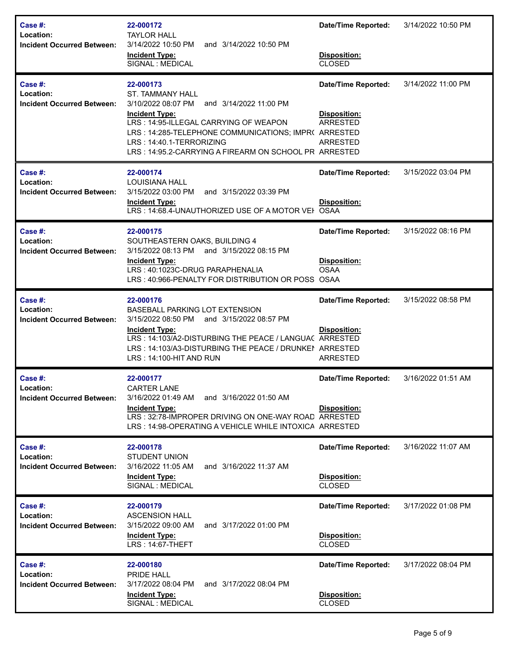| Case #:<br>Location:<br><b>Incident Occurred Between:</b>    | 22-000172<br><b>TAYLOR HALL</b><br>3/14/2022 10:50 PM<br>and 3/14/2022 10:50 PM<br><b>Incident Type:</b><br>SIGNAL : MEDICAL                                                                                                                                                                        | <b>Date/Time Reported:</b><br>Disposition:<br><b>CLOSED</b>                      | 3/14/2022 10:50 PM |
|--------------------------------------------------------------|-----------------------------------------------------------------------------------------------------------------------------------------------------------------------------------------------------------------------------------------------------------------------------------------------------|----------------------------------------------------------------------------------|--------------------|
| Case #:<br>Location:<br>Incident Occurred Between:           | 22-000173<br><b>ST. TAMMANY HALL</b><br>3/10/2022 08:07 PM<br>and 3/14/2022 11:00 PM<br><b>Incident Type:</b><br>LRS: 14:95-ILLEGAL CARRYING OF WEAPON<br>LRS: 14:285-TELEPHONE COMMUNICATIONS; IMPR( ARRESTED<br>LRS: 14:40.1-TERRORIZING<br>LRS: 14:95.2-CARRYING A FIREARM ON SCHOOL PR ARRESTED | <b>Date/Time Reported:</b><br>Disposition:<br><b>ARRESTED</b><br><b>ARRESTED</b> | 3/14/2022 11:00 PM |
| Case $#$ :<br>Location:<br><b>Incident Occurred Between:</b> | 22-000174<br><b>LOUISIANA HALL</b><br>3/15/2022 03:00 PM<br>and 3/15/2022 03:39 PM<br><b>Incident Type:</b><br>LRS: 14:68.4-UNAUTHORIZED USE OF A MOTOR VEH                                                                                                                                         | <b>Date/Time Reported:</b><br>Disposition:<br><b>OSAA</b>                        | 3/15/2022 03:04 PM |
| Case #:<br>Location:<br><b>Incident Occurred Between:</b>    | 22-000175<br>SOUTHEASTERN OAKS, BUILDING 4<br>3/15/2022 08:13 PM and 3/15/2022 08:15 PM<br><b>Incident Type:</b><br>LRS: 40:1023C-DRUG PARAPHENALIA<br>LRS: 40:966-PENALTY FOR DISTRIBUTION OR POSS OSAA                                                                                            | <b>Date/Time Reported:</b><br>Disposition:<br><b>OSAA</b>                        | 3/15/2022 08:16 PM |
| Case #:<br>Location:<br><b>Incident Occurred Between:</b>    | 22-000176<br>BASEBALL PARKING LOT EXTENSION<br>3/15/2022 08:50 PM<br>and 3/15/2022 08:57 PM<br><b>Incident Type:</b><br>LRS: 14:103/A2-DISTURBING THE PEACE / LANGUAC ARRESTED<br>LRS: 14:103/A3-DISTURBING THE PEACE / DRUNKEI ARRESTED<br>LRS: 14:100-HIT AND RUN                                 | <b>Date/Time Reported:</b><br><b>Disposition:</b><br><b>ARRESTED</b>             | 3/15/2022 08:58 PM |
| Case #:<br>Location:<br><b>Incident Occurred Between:</b>    | 22-000177<br><b>CARTER LANE</b><br>3/16/2022 01:49 AM<br>and 3/16/2022 01:50 AM<br><b>Incident Type:</b><br>LRS: 32:78-IMPROPER DRIVING ON ONE-WAY ROAD ARRESTED<br>LRS: 14:98-OPERATING A VEHICLE WHILE INTOXICA ARRESTED                                                                          | <b>Date/Time Reported:</b><br>Disposition:                                       | 3/16/2022 01:51 AM |
| Case #:<br>Location:<br><b>Incident Occurred Between:</b>    | 22-000178<br>STUDENT UNION<br>3/16/2022 11:05 AM<br>and 3/16/2022 11:37 AM<br><b>Incident Type:</b><br>SIGNAL : MEDICAL                                                                                                                                                                             | <b>Date/Time Reported:</b><br>Disposition:<br><b>CLOSED</b>                      | 3/16/2022 11:07 AM |
| Case #:<br>Location:<br><b>Incident Occurred Between:</b>    | 22-000179<br><b>ASCENSION HALL</b><br>3/15/2022 09:00 AM<br>and 3/17/2022 01:00 PM<br><b>Incident Type:</b><br>LRS: 14:67-THEFT                                                                                                                                                                     | <b>Date/Time Reported:</b><br>Disposition:<br><b>CLOSED</b>                      | 3/17/2022 01:08 PM |
| Case #:<br>Location:<br><b>Incident Occurred Between:</b>    | 22-000180<br>PRIDE HALL<br>3/17/2022 08:04 PM<br>and 3/17/2022 08:04 PM<br><b>Incident Type:</b><br>SIGNAL : MEDICAL                                                                                                                                                                                | <b>Date/Time Reported:</b><br>Disposition:<br><b>CLOSED</b>                      | 3/17/2022 08:04 PM |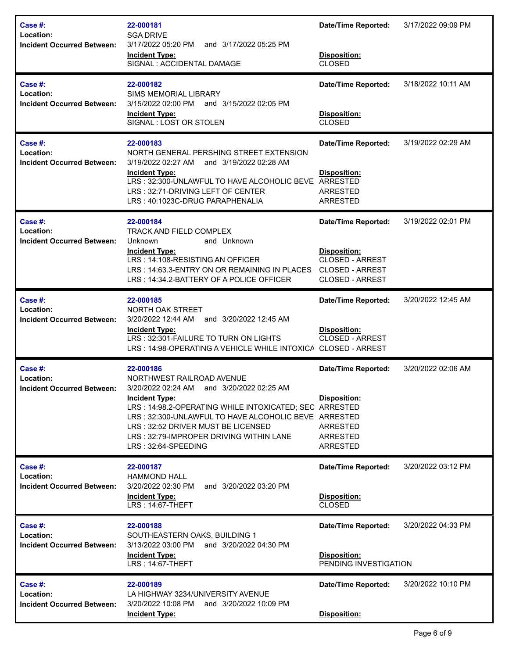| Case #:<br>Location:<br><b>Incident Occurred Between:</b>    | 22-000181<br><b>SGA DRIVE</b><br>3/17/2022 05:20 PM<br>and 3/17/2022 05:25 PM<br><b>Incident Type:</b><br>SIGNAL : ACCIDENTAL DAMAGE                                                                                                                                                                                                   | <b>Date/Time Reported:</b><br>Disposition:<br><b>CLOSED</b>                                                              | 3/17/2022 09:09 PM |
|--------------------------------------------------------------|----------------------------------------------------------------------------------------------------------------------------------------------------------------------------------------------------------------------------------------------------------------------------------------------------------------------------------------|--------------------------------------------------------------------------------------------------------------------------|--------------------|
| Case $#$ :<br>Location:<br><b>Incident Occurred Between:</b> | 22-000182<br><b>SIMS MEMORIAL LIBRARY</b><br>3/15/2022 02:00 PM<br>and 3/15/2022 02:05 PM<br><b>Incident Type:</b><br>SIGNAL: LOST OR STOLEN                                                                                                                                                                                           | <b>Date/Time Reported:</b><br>Disposition:<br><b>CLOSED</b>                                                              | 3/18/2022 10:11 AM |
| Case #:<br>Location:<br><b>Incident Occurred Between:</b>    | 22-000183<br>NORTH GENERAL PERSHING STREET EXTENSION<br>3/19/2022 02:27 AM<br>and 3/19/2022 02:28 AM<br><b>Incident Type:</b><br>LRS: 32:300-UNLAWFUL TO HAVE ALCOHOLIC BEVE ARRESTED<br>LRS: 32:71-DRIVING LEFT OF CENTER<br>LRS: 40:1023C-DRUG PARAPHENALIA                                                                          | <b>Date/Time Reported:</b><br>Disposition:<br><b>ARRESTED</b><br><b>ARRESTED</b>                                         | 3/19/2022 02:29 AM |
| Case #:<br>Location:<br><b>Incident Occurred Between:</b>    | 22-000184<br><b>TRACK AND FIELD COMPLEX</b><br>and Unknown<br>Unknown<br><b>Incident Type:</b><br>LRS: 14:108-RESISTING AN OFFICER<br>LRS: 14:63.3-ENTRY ON OR REMAINING IN PLACES<br>LRS: 14:34.2-BATTERY OF A POLICE OFFICER                                                                                                         | <b>Date/Time Reported:</b><br>Disposition:<br><b>CLOSED - ARREST</b><br><b>CLOSED - ARREST</b><br><b>CLOSED - ARREST</b> | 3/19/2022 02:01 PM |
| Case #:<br>Location:<br><b>Incident Occurred Between:</b>    | 22-000185<br>NORTH OAK STREET<br>3/20/2022 12:44 AM<br>and 3/20/2022 12:45 AM<br><b>Incident Type:</b><br>LRS: 32:301-FAILURE TO TURN ON LIGHTS<br>LRS: 14:98-OPERATING A VEHICLE WHILE INTOXICA CLOSED - ARREST                                                                                                                       | <b>Date/Time Reported:</b><br>Disposition:<br><b>CLOSED - ARREST</b>                                                     | 3/20/2022 12:45 AM |
| Case #:<br>Location:<br><b>Incident Occurred Between:</b>    | 22-000186<br>NORTHWEST RAILROAD AVENUE<br>3/20/2022 02:24 AM and 3/20/2022 02:25 AM<br><b>Incident Type:</b><br>LRS: 14:98.2-OPERATING WHILE INTOXICATED; SEC ARRESTED<br>LRS: 32:300-UNLAWFUL TO HAVE ALCOHOLIC BEVE ARRESTED<br>LRS: 32:52 DRIVER MUST BE LICENSED<br>LRS: 32:79-IMPROPER DRIVING WITHIN LANE<br>LRS: 32:64-SPEEDING | <b>Date/Time Reported:</b><br><b>Disposition:</b><br><b>ARRESTED</b><br><b>ARRESTED</b><br><b>ARRESTED</b>               | 3/20/2022 02:06 AM |
| Case #:<br>Location:<br><b>Incident Occurred Between:</b>    | 22-000187<br><b>HAMMOND HALL</b><br>3/20/2022 02:30 PM<br>and 3/20/2022 03:20 PM<br><b>Incident Type:</b><br><b>LRS: 14:67-THEFT</b>                                                                                                                                                                                                   | <b>Date/Time Reported:</b><br><b>Disposition:</b><br><b>CLOSED</b>                                                       | 3/20/2022 03:12 PM |
| Case #:<br>Location:<br><b>Incident Occurred Between:</b>    | 22-000188<br>SOUTHEASTERN OAKS, BUILDING 1<br>3/13/2022 03:00 PM<br>and 3/20/2022 04:30 PM<br><b>Incident Type:</b><br><b>LRS: 14:67-THEFT</b>                                                                                                                                                                                         | <b>Date/Time Reported:</b><br>Disposition:<br>PENDING INVESTIGATION                                                      | 3/20/2022 04:33 PM |
| Case #:<br>Location:<br><b>Incident Occurred Between:</b>    | 22-000189<br>LA HIGHWAY 3234/UNIVERSITY AVENUE<br>3/20/2022 10:08 PM<br>and 3/20/2022 10:09 PM<br><b>Incident Type:</b>                                                                                                                                                                                                                | <b>Date/Time Reported:</b><br>Disposition:                                                                               | 3/20/2022 10:10 PM |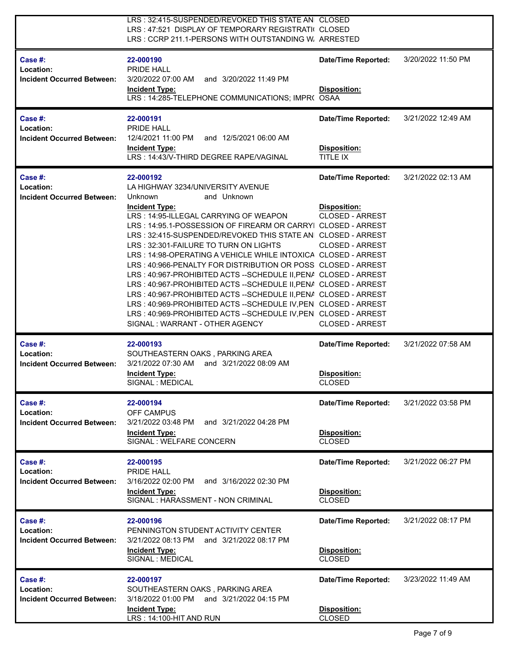|                                                           | LRS: 32:415-SUSPENDED/REVOKED THIS STATE AN CLOSED<br>LRS: 47:521 DISPLAY OF TEMPORARY REGISTRATI( CLOSED<br>LRS: CCRP 211.1-PERSONS WITH OUTSTANDING W. ARRESTED                                                                                                                                                                                                                                                                                                                                                                                                                                                                                                                                                                                                                                                                   |                                                                                                                   |                    |
|-----------------------------------------------------------|-------------------------------------------------------------------------------------------------------------------------------------------------------------------------------------------------------------------------------------------------------------------------------------------------------------------------------------------------------------------------------------------------------------------------------------------------------------------------------------------------------------------------------------------------------------------------------------------------------------------------------------------------------------------------------------------------------------------------------------------------------------------------------------------------------------------------------------|-------------------------------------------------------------------------------------------------------------------|--------------------|
| Case #:<br>Location:<br><b>Incident Occurred Between:</b> | 22-000190<br>PRIDE HALL<br>3/20/2022 07:00 AM<br>and 3/20/2022 11:49 PM<br><b>Incident Type:</b><br>LRS: 14:285-TELEPHONE COMMUNICATIONS; IMPR( OSAA                                                                                                                                                                                                                                                                                                                                                                                                                                                                                                                                                                                                                                                                                | <b>Date/Time Reported:</b><br><b>Disposition:</b>                                                                 | 3/20/2022 11:50 PM |
| Case #:<br>Location:<br><b>Incident Occurred Between:</b> | 22-000191<br><b>PRIDE HALL</b><br>12/4/2021 11:00 PM<br>and 12/5/2021 06:00 AM<br><b>Incident Type:</b><br>LRS: 14:43/V-THIRD DEGREE RAPE/VAGINAL                                                                                                                                                                                                                                                                                                                                                                                                                                                                                                                                                                                                                                                                                   | <b>Date/Time Reported:</b><br>Disposition:<br>TITLE IX                                                            | 3/21/2022 12:49 AM |
| Case #:<br>Location:<br><b>Incident Occurred Between:</b> | 22-000192<br>LA HIGHWAY 3234/UNIVERSITY AVENUE<br>Unknown<br>and Unknown<br><b>Incident Type:</b><br>LRS: 14:95-ILLEGAL CARRYING OF WEAPON<br>LRS: 14:95.1-POSSESSION OF FIREARM OR CARRYI CLOSED - ARREST<br>LRS: 32:415-SUSPENDED/REVOKED THIS STATE AN CLOSED - ARREST<br>LRS: 32:301-FAILURE TO TURN ON LIGHTS<br>LRS: 14:98-OPERATING A VEHICLE WHILE INTOXICA CLOSED - ARREST<br>LRS: 40:966-PENALTY FOR DISTRIBUTION OR POSS CLOSED - ARREST<br>LRS: 40:967-PROHIBITED ACTS--SCHEDULE II, PENA CLOSED - ARREST<br>LRS: 40:967-PROHIBITED ACTS -- SCHEDULE II, PENA CLOSED - ARREST<br>LRS: 40:967-PROHIBITED ACTS--SCHEDULE II, PENA CLOSED - ARREST<br>LRS: 40:969-PROHIBITED ACTS -- SCHEDULE IV, PEN CLOSED - ARREST<br>LRS: 40:969-PROHIBITED ACTS -- SCHEDULE IV, PEN CLOSED - ARREST<br>SIGNAL: WARRANT - OTHER AGENCY | <b>Date/Time Reported:</b><br>Disposition:<br>CLOSED - ARREST<br><b>CLOSED - ARREST</b><br><b>CLOSED - ARREST</b> | 3/21/2022 02:13 AM |
| Case #:<br>Location:<br><b>Incident Occurred Between:</b> | 22-000193<br>SOUTHEASTERN OAKS, PARKING AREA<br>3/21/2022 07:30 AM<br>and 3/21/2022 08:09 AM<br><b>Incident Type:</b><br>SIGNAL : MEDICAL                                                                                                                                                                                                                                                                                                                                                                                                                                                                                                                                                                                                                                                                                           | <b>Date/Time Reported:</b><br>Disposition:<br><b>CLOSED</b>                                                       | 3/21/2022 07:58 AM |
| Case #:<br>Location:<br><b>Incident Occurred Between:</b> | 22-000194<br>OFF CAMPUS<br>3/21/2022 03:48 PM<br>and 3/21/2022 04:28 PM<br><b>Incident Type:</b><br>SIGNAL : WELFARE CONCERN                                                                                                                                                                                                                                                                                                                                                                                                                                                                                                                                                                                                                                                                                                        | Date/Time Reported:<br>Disposition:<br><b>CLOSED</b>                                                              | 3/21/2022 03:58 PM |
| Case #:<br>Location:<br><b>Incident Occurred Between:</b> | 22-000195<br>PRIDE HALL<br>and 3/16/2022 02:30 PM<br>3/16/2022 02:00 PM<br><b>Incident Type:</b><br>SIGNAL : HARASSMENT - NON CRIMINAL                                                                                                                                                                                                                                                                                                                                                                                                                                                                                                                                                                                                                                                                                              | <b>Date/Time Reported:</b><br>Disposition:<br><b>CLOSED</b>                                                       | 3/21/2022 06:27 PM |
| Case #:<br>Location:<br><b>Incident Occurred Between:</b> | 22-000196<br>PENNINGTON STUDENT ACTIVITY CENTER<br>3/21/2022 08:13 PM and 3/21/2022 08:17 PM<br><b>Incident Type:</b><br>SIGNAL : MEDICAL                                                                                                                                                                                                                                                                                                                                                                                                                                                                                                                                                                                                                                                                                           | <b>Date/Time Reported:</b><br>Disposition:<br><b>CLOSED</b>                                                       | 3/21/2022 08:17 PM |
| Case #:<br>Location:<br><b>Incident Occurred Between:</b> | 22-000197<br>SOUTHEASTERN OAKS, PARKING AREA<br>3/18/2022 01:00 PM and 3/21/2022 04:15 PM<br><b>Incident Type:</b><br>LRS: 14:100-HIT AND RUN                                                                                                                                                                                                                                                                                                                                                                                                                                                                                                                                                                                                                                                                                       | <b>Date/Time Reported:</b><br>Disposition:<br><b>CLOSED</b>                                                       | 3/23/2022 11:49 AM |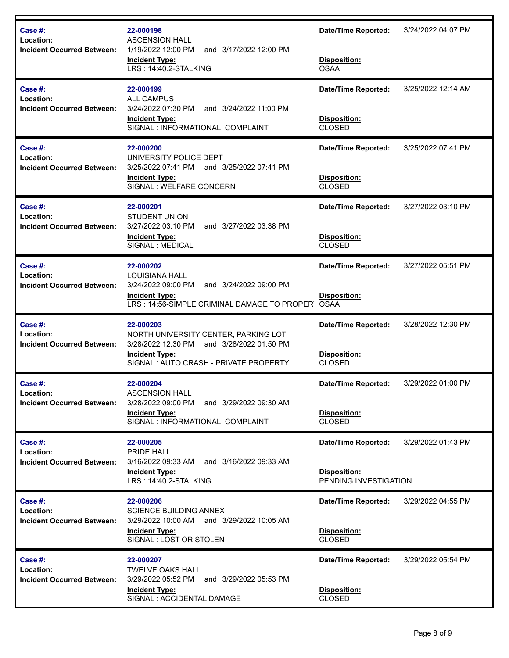| Case #:<br>Location:              | 22-000198<br><b>ASCENSION HALL</b>                                                                                        | <b>Date/Time Reported:</b>            | 3/24/2022 04:07 PM |
|-----------------------------------|---------------------------------------------------------------------------------------------------------------------------|---------------------------------------|--------------------|
| <b>Incident Occurred Between:</b> | 1/19/2022 12:00 PM<br>and 3/17/2022 12:00 PM<br><b>Incident Type:</b><br>LRS: 14:40.2-STALKING                            | Disposition:<br><b>OSAA</b>           |                    |
| Case #:<br>Location:              | 22-000199<br><b>ALL CAMPUS</b>                                                                                            | Date/Time Reported:                   | 3/25/2022 12:14 AM |
| <b>Incident Occurred Between:</b> | 3/24/2022 07:30 PM<br>and 3/24/2022 11:00 PM<br><b>Incident Type:</b><br>SIGNAL : INFORMATIONAL: COMPLAINT                | Disposition:<br><b>CLOSED</b>         |                    |
| Case #:<br>Location:              | 22-000200<br>UNIVERSITY POLICE DEPT                                                                                       | <b>Date/Time Reported:</b>            | 3/25/2022 07:41 PM |
| <b>Incident Occurred Between:</b> | 3/25/2022 07:41 PM and 3/25/2022 07:41 PM<br><b>Incident Type:</b><br>SIGNAL : WELFARE CONCERN                            | Disposition:<br><b>CLOSED</b>         |                    |
| Case #:<br>Location:              | 22-000201<br><b>STUDENT UNION</b>                                                                                         | <b>Date/Time Reported:</b>            | 3/27/2022 03:10 PM |
| <b>Incident Occurred Between:</b> | 3/27/2022 03:10 PM<br>and 3/27/2022 03:38 PM<br><b>Incident Type:</b><br>SIGNAL : MEDICAL                                 | Disposition:<br><b>CLOSED</b>         |                    |
| Case #:<br>Location:              | 22-000202<br><b>LOUISIANA HALL</b>                                                                                        | <b>Date/Time Reported:</b>            | 3/27/2022 05:51 PM |
| <b>Incident Occurred Between:</b> | 3/24/2022 09:00 PM<br>and 3/24/2022 09:00 PM<br><b>Incident Type:</b><br>LRS: 14:56-SIMPLE CRIMINAL DAMAGE TO PROPER OSAA | Disposition:                          |                    |
| Case #:<br>Location:              | 22-000203<br>NORTH UNIVERSITY CENTER, PARKING LOT                                                                         | <b>Date/Time Reported:</b>            | 3/28/2022 12:30 PM |
| <b>Incident Occurred Between:</b> | 3/28/2022 12:30 PM<br>and 3/28/2022 01:50 PM<br><b>Incident Type:</b><br>SIGNAL: AUTO CRASH - PRIVATE PROPERTY            | Disposition:<br><b>CLOSED</b>         |                    |
| <b>Case #:</b><br>Location:       | 22-000204<br><b>ASCENSION HALL</b>                                                                                        | <b>Date/Time Reported:</b>            | 3/29/2022 01:00 PM |
| <b>Incident Occurred Between:</b> | 3/28/2022 09:00 PM<br>and 3/29/2022 09:30 AM<br><b>Incident Type:</b><br>SIGNAL : INFORMATIONAL: COMPLAINT                | Disposition:<br><b>CLOSED</b>         |                    |
| Case #:<br>Location:              | 22-000205<br>PRIDE HALL                                                                                                   | <b>Date/Time Reported:</b>            | 3/29/2022 01:43 PM |
| <b>Incident Occurred Between:</b> | 3/16/2022 09:33 AM<br>and 3/16/2022 09:33 AM<br><b>Incident Type:</b><br>LRS: 14:40.2-STALKING                            | Disposition:<br>PENDING INVESTIGATION |                    |
| Case #:<br>Location:              | 22-000206<br><b>SCIENCE BUILDING ANNEX</b>                                                                                | <b>Date/Time Reported:</b>            | 3/29/2022 04:55 PM |
| <b>Incident Occurred Between:</b> | 3/29/2022 10:00 AM and 3/29/2022 10:05 AM<br><b>Incident Type:</b><br>SIGNAL: LOST OR STOLEN                              | Disposition:<br><b>CLOSED</b>         |                    |
| Case #:<br>Location:              | 22-000207<br><b>TWELVE OAKS HALL</b>                                                                                      | <b>Date/Time Reported:</b>            | 3/29/2022 05:54 PM |
| <b>Incident Occurred Between:</b> | 3/29/2022 05:52 PM<br>and 3/29/2022 05:53 PM<br><b>Incident Type:</b><br>SIGNAL : ACCIDENTAL DAMAGE                       | Disposition:<br><b>CLOSED</b>         |                    |